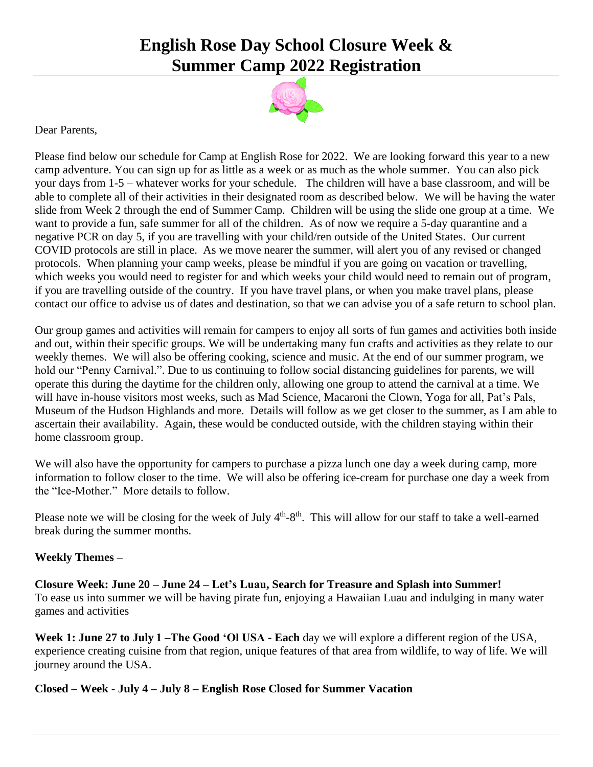## **English Rose Day School Closure Week & Summer Camp 2022 Registration**



Dear Parents,

Please find below our schedule for Camp at English Rose for 2022. We are looking forward this year to a new camp adventure. You can sign up for as little as a week or as much as the whole summer. You can also pick your days from 1-5 – whatever works for your schedule. The children will have a base classroom, and will be able to complete all of their activities in their designated room as described below. We will be having the water slide from Week 2 through the end of Summer Camp. Children will be using the slide one group at a time. We want to provide a fun, safe summer for all of the children. As of now we require a 5-day quarantine and a negative PCR on day 5, if you are travelling with your child/ren outside of the United States. Our current COVID protocols are still in place. As we move nearer the summer, will alert you of any revised or changed protocols. When planning your camp weeks, please be mindful if you are going on vacation or travelling, which weeks you would need to register for and which weeks your child would need to remain out of program, if you are travelling outside of the country. If you have travel plans, or when you make travel plans, please contact our office to advise us of dates and destination, so that we can advise you of a safe return to school plan.

Our group games and activities will remain for campers to enjoy all sorts of fun games and activities both inside and out, within their specific groups. We will be undertaking many fun crafts and activities as they relate to our weekly themes. We will also be offering cooking, science and music. At the end of our summer program, we hold our "Penny Carnival.". Due to us continuing to follow social distancing guidelines for parents, we will operate this during the daytime for the children only, allowing one group to attend the carnival at a time. We will have in-house visitors most weeks, such as Mad Science, Macaroni the Clown, Yoga for all, Pat's Pals, Museum of the Hudson Highlands and more. Details will follow as we get closer to the summer, as I am able to ascertain their availability. Again, these would be conducted outside, with the children staying within their home classroom group.

We will also have the opportunity for campers to purchase a pizza lunch one day a week during camp, more information to follow closer to the time. We will also be offering ice-cream for purchase one day a week from the "Ice-Mother." More details to follow.

Please note we will be closing for the week of July  $4<sup>th</sup>-8<sup>th</sup>$ . This will allow for our staff to take a well-earned break during the summer months.

## **Weekly Themes –**

**Closure Week: June 20 – June 24 – Let's Luau, Search for Treasure and Splash into Summer!** To ease us into summer we will be having pirate fun, enjoying a Hawaiian Luau and indulging in many water games and activities

**Week 1: June 27 to July 1 –The Good 'Ol USA - Each** day we will explore a different region of the USA, experience creating cuisine from that region, unique features of that area from wildlife, to way of life. We will journey around the USA.

**Closed – Week - July 4 – July 8 – English Rose Closed for Summer Vacation**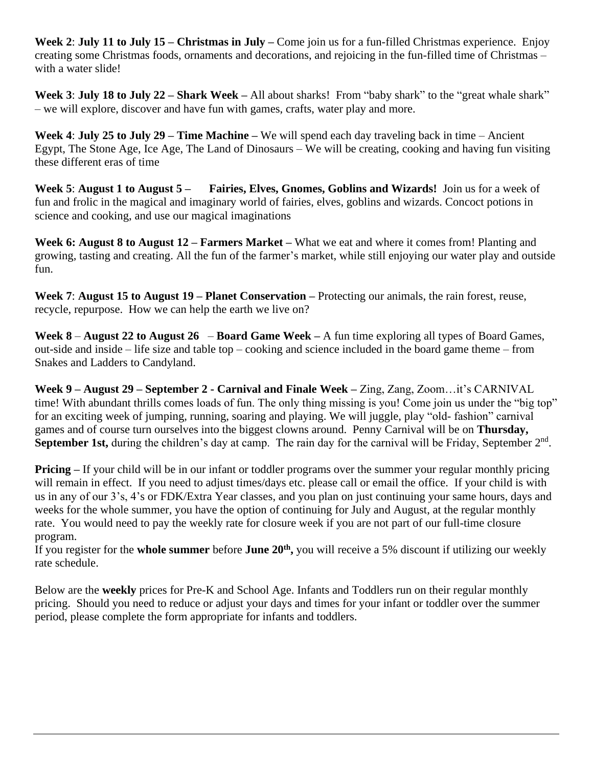**Week 2**: **July 11 to July 15 – Christmas in July –** Come join us for a fun-filled Christmas experience. Enjoy creating some Christmas foods, ornaments and decorations, and rejoicing in the fun-filled time of Christmas – with a water slide!

**Week 3**: **July 18 to July 22 – Shark Week –** All about sharks! From "baby shark" to the "great whale shark" – we will explore, discover and have fun with games, crafts, water play and more.

**Week 4**: **July 25 to July 29 – Time Machine –** We will spend each day traveling back in time – Ancient Egypt, The Stone Age, Ice Age, The Land of Dinosaurs – We will be creating, cooking and having fun visiting these different eras of time

**Week 5**: **August 1 to August 5 – Fairies, Elves, Gnomes, Goblins and Wizards!** Join us for a week of fun and frolic in the magical and imaginary world of fairies, elves, goblins and wizards. Concoct potions in science and cooking, and use our magical imaginations

**Week 6: August 8 to August 12 – Farmers Market –** What we eat and where it comes from! Planting and growing, tasting and creating. All the fun of the farmer's market, while still enjoying our water play and outside fun.

**Week 7**: **August 15 to August 19 – Planet Conservation –** Protecting our animals, the rain forest, reuse, recycle, repurpose. How we can help the earth we live on?

**Week 8** – **August 22 to August 26** – **Board Game Week –** A fun time exploring all types of Board Games, out-side and inside – life size and table top – cooking and science included in the board game theme – from Snakes and Ladders to Candyland.

**Week 9 – August 29 – September 2 - Carnival and Finale Week –** Zing, Zang, Zoom…it's CARNIVAL time! With abundant thrills comes loads of fun. The only thing missing is you! Come join us under the "big top" for an exciting week of jumping, running, soaring and playing. We will juggle, play "old- fashion" carnival games and of course turn ourselves into the biggest clowns around. Penny Carnival will be on **Thursday,**  September 1st, during the children's day at camp. The rain day for the carnival will be Friday, September 2<sup>nd</sup>.

**Pricing** – If your child will be in our infant or toddler programs over the summer your regular monthly pricing will remain in effect. If you need to adjust times/days etc. please call or email the office. If your child is with us in any of our 3's, 4's or FDK/Extra Year classes, and you plan on just continuing your same hours, days and weeks for the whole summer, you have the option of continuing for July and August, at the regular monthly rate. You would need to pay the weekly rate for closure week if you are not part of our full-time closure program.

If you register for the **whole summer** before **June 20th ,** you will receive a 5% discount if utilizing our weekly rate schedule.

Below are the **weekly** prices for Pre-K and School Age. Infants and Toddlers run on their regular monthly pricing. Should you need to reduce or adjust your days and times for your infant or toddler over the summer period, please complete the form appropriate for infants and toddlers.